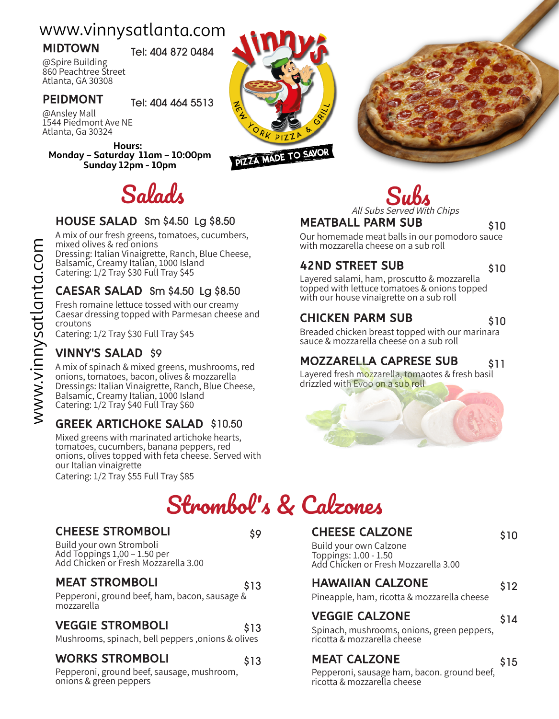# www.vinnysatlanta.com

**MIDTOWN** Tel: 404 872 0484

@Spire Building 860 Peachtree Street Atlanta, GA 30308

**PEIDMONT** Tel: 404 464 5513

@Ansley Mall 1544 Piedmont Ave NE Atlanta, Ga 30324

**Hours: Monday – Saturday 11am – 10:00pm Sunday 12pm - 10pm**

## HOUSE SALAD Sm \$4.50 Lg \$8.50

A mix of our fresh greens, tomatoes, cucumbers, mixed olives & red onions Dressing: Italian Vinaigrette, Ranch, Blue Cheese, Balsamic, Creamy Italian, 1000 Island Catering: 1/2 Tray \$30 Full Tray \$45

## CAESAR SALAD Sm \$4.50 Lg \$8.50

Fresh romaine lettuce tossed with our creamy Caesar dressing topped with Parmesan cheese and croutons

Catering: 1/2 Tray \$30 Full Tray \$45

## VINNY'S SALAD \$9

A mix of spinach & mixed greens, mushrooms, red onions, tomatoes, bacon, olives & mozzarella Dressings: Italian Vinaigrette, Ranch, Blue Cheese, Balsamic, Creamy Italian, 1000 Island Catering: 1/2 Tray \$40 Full Tray \$60

## GREEK ARTICHOKE SALAD \$10.50

Mixed greens with marinated artichoke hearts, tomatoes, cucumbers, banana peppers, red onions, olives topped with feta cheese. Served with our Italian vinaigrette Catering: 1/2 Tray \$55 Full Tray \$85

Strombol' s & Calzones

## CHEESE STROMBOLI 59

Build your own Stromboli Add Toppings 1,00 – 1.50 per Add Chicken or Fresh Mozzarella 3.00

## MEAT STROMBOLI 613

Pepperoni, ground beef, ham, bacon, sausage & mozzarella

## VEGGIE STROMBOLI \$13

Mushrooms, spinach, bell peppers ,onions & olives

#### WORKS STROMBOLI \$13

Pepperoni, ground beef, sausage, mushroom, onions & green peppers

PIZZA MADE TO SAVOR





## MEATBALL PARM SUB \$10

Our homemade meat balls in our pomodoro sauce with mozzarella cheese on a sub roll

## 42ND STREET SUB \$10

Layered salami, ham, proscutto & mozzarella topped with lettuce tomatoes & onions topped with our house vinaigrette on a sub roll

## CHICKEN PARM SUB \$10

Breaded chicken breast topped with our marinara sauce & mozzarella cheese on a sub roll

## MOZZARELLA CAPRESE SUB \$11

Layered fresh mozzarella, tomaotes & fresh basil drizzled with Evoo on a sub roll



## CHEESE CALZONE 510

Build your own Calzone Toppings: 1.00 - 1.50 Add Chicken or Fresh Mozzarella 3.00

## HAWAIIAN CALZONE 512

Pineapple, ham, ricotta & mozzarella cheese

## VEGGIE CALZONE 514

Spinach, mushrooms, onions, green peppers, ricotta & mozzarella cheese

## MEAT CALZONE \$15

Pepperoni, sausage ham, bacon. ground beef, ricotta & mozzarella cheese